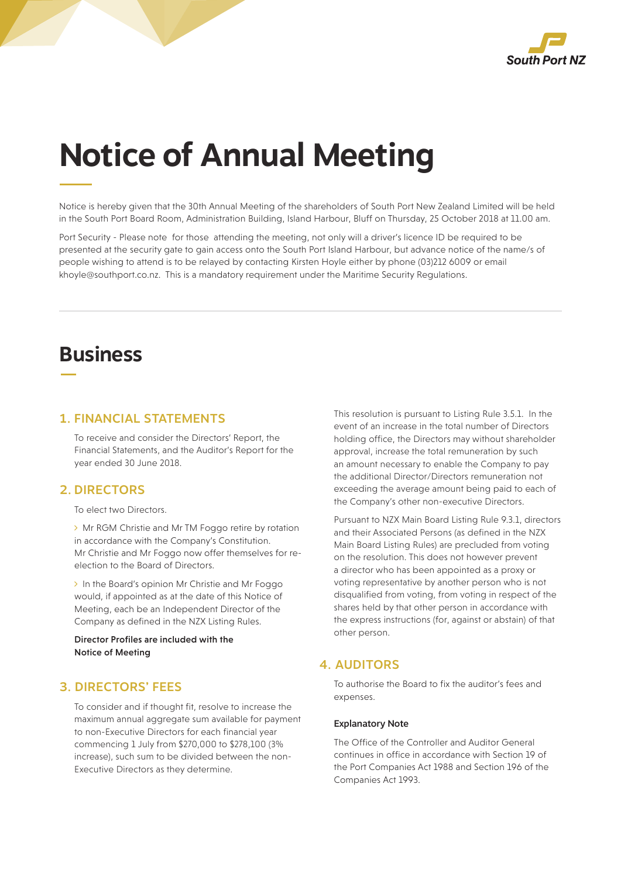

# **Notice of Annual Meeting**

Notice is hereby given that the 30th Annual Meeting of the shareholders of South Port New Zealand Limited will be held in the South Port Board Room, Administration Building, Island Harbour, Bluff on Thursday, 25 October 2018 at 11.00 am.

Port Security - Please note for those attending the meeting, not only will a driver's licence ID be required to be presented at the security gate to gain access onto the South Port Island Harbour, but advance notice of the name/s of people wishing to attend is to be relayed by contacting Kirsten Hoyle either by phone (03)212 6009 or email khoyle@southport.co.nz. This is a mandatory requirement under the Maritime Security Regulations.

# **Business**

#### 1. FINANCIAL STATEMENTS

To receive and consider the Directors' Report, the Financial Statements, and the Auditor's Report for the year ended 30 June 2018.

#### 2. DIRECTORS

To elect two Directors.

> Mr RGM Christie and Mr TM Foggo retire by rotation in accordance with the Company's Constitution. Mr Christie and Mr Foggo now offer themselves for reelection to the Board of Directors.

> In the Board's opinion Mr Christie and Mr Foggo would, if appointed as at the date of this Notice of Meeting, each be an Independent Director of the Company as defined in the NZX Listing Rules.

Director Profiles are included with the Notice of Meeting

### 3. DIRECTORS' FEES

To consider and if thought fit, resolve to increase the maximum annual aggregate sum available for payment to non-Executive Directors for each financial year commencing 1 July from \$270,000 to \$278,100 (3% increase), such sum to be divided between the non-Executive Directors as they determine.

This resolution is pursuant to Listing Rule 3.5.1. In the event of an increase in the total number of Directors holding office, the Directors may without shareholder approval, increase the total remuneration by such an amount necessary to enable the Company to pay the additional Director/Directors remuneration not exceeding the average amount being paid to each of the Company's other non-executive Directors.

Pursuant to NZX Main Board Listing Rule 9.3.1, directors and their Associated Persons (as defined in the NZX Main Board Listing Rules) are precluded from voting on the resolution. This does not however prevent a director who has been appointed as a proxy or voting representative by another person who is not disqualified from voting, from voting in respect of the shares held by that other person in accordance with the express instructions (for, against or abstain) of that other person.

### 4. AUDITORS

To authorise the Board to fix the auditor's fees and expenses.

#### Explanatory Note

The Office of the Controller and Auditor General continues in office in accordance with Section 19 of the Port Companies Act 1988 and Section 196 of the Companies Act 1993.